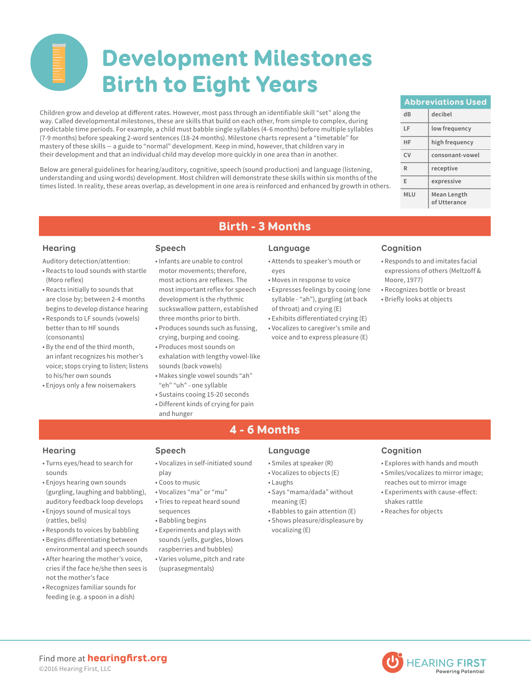# Development Milestones Birth to Eight Years

Children grow and develop at different rates. However, most pass through an identifiable skill "set" along the way. Called developmental milestones, these are skills that build on each other, from simple to complex, during predictable time periods. For example, a child must babble single syllables (4-6 months) before multiple syllables (7-9 months) before speaking 2-word sentences (18-24 months). Milestone charts represent a "timetable" for mastery of these skills — a guide to "normal" development. Keep in mind, however, that children vary in their development and that an individual child may develop more quickly in one area than in another.

Below are general guidelines for hearing/auditory, cognitive, speech (sound production) and language (listening, understanding and using words) development. Most children will demonstrate these skills within six months of the times listed. In reality, these areas overlap, as development in one area is reinforced and enhanced by growth in others.

| <b>Abbreviations Used</b> |                             |
|---------------------------|-----------------------------|
| dR                        | decibel                     |
| ΙF                        | low frequency               |
| HF                        | high frequency              |
| CV                        | consonant-vowel             |
| R                         | receptive                   |
| F                         | expressive                  |
| <b>MLU</b>                | Mean Length<br>of Utterance |

Auditory detection/attention:

- Reacts to loud sounds with startle (Moro reflex)
- Reacts initially to sounds that are close by; between 2-4 months begins to develop distance hearing
- Responds to LF sounds (vowels) better than to HF sounds (consonants)
- By the end of the third month, an infant recognizes his mother's voice; stops crying to listen; listens to his/her own sounds
- Enjoys only a few noisemakers

- Infants are unable to control motor movements; therefore, most actions are reflexes. The most important reflex for speech development is the rhythmic suckswallow pattern, established three months prior to birth.
- Produces sounds such as fussing, crying, burping and cooing.
- Produces most sounds on exhalation with lengthy vowel-like
- sounds (back vowels) • Makes single vowel sounds "ah"
- "eh" "uh" one syllable
- Sustains cooing 15-20 seconds
- Different kinds of crying for pain and hunger

## **Hearing Speech Language Cognition**

Birth - 3 Months

- Attends to speaker's mouth or eyes
- Moves in response to voice
- Expresses feelings by cooing (one syllable - "ah"), gurgling (at back of throat) and crying (E)
- Exhibits differentiated crying (E)
- Vocalizes to caregiver's smile and voice and to express pleasure (E)

- Responds to and imitates facial expressions of others (Meltzoff & Moore, 1977)
- Recognizes bottle or breast
- Briefly looks at objects

# 4 - 6 Months

- Turns eyes/head to search for sounds
- Enjoys hearing own sounds (gurgling, laughing and babbling), auditory feedback loop develops
- Enjoys sound of musical toys (rattles, bells)
- Responds to voices by babbling
- Begins differentiating between environmental and speech sounds
- After hearing the mother's voice, cries if the face he/she then sees is not the mother's face
- Recognizes familiar sounds for feeding (e.g. a spoon in a dish)

- Vocalizes in self-initiated sound play
- Coos to music
- Vocalizes "ma" or "mu"
- Tries to repeat heard sound sequences
- Babbling begins
- Experiments and plays with sounds (yells, gurgles, blows raspberries and bubbles)
- Varies volume, pitch and rate (suprasegmentals)

- Smiles at speaker (R)
- Vocalizes to objects (E)
- Laughs
- Says "mama/dada" without meaning (E)
- Babbles to gain attention (E) • Shows pleasure/displeasure by vocalizing (E)

- Explores with hands and mouth
- Smiles/vocalizes to mirror image; reaches out to mirror image
- Experiments with cause-effect: shakes rattle
- Reaches for objects



**Hearing Speech Language Cognition**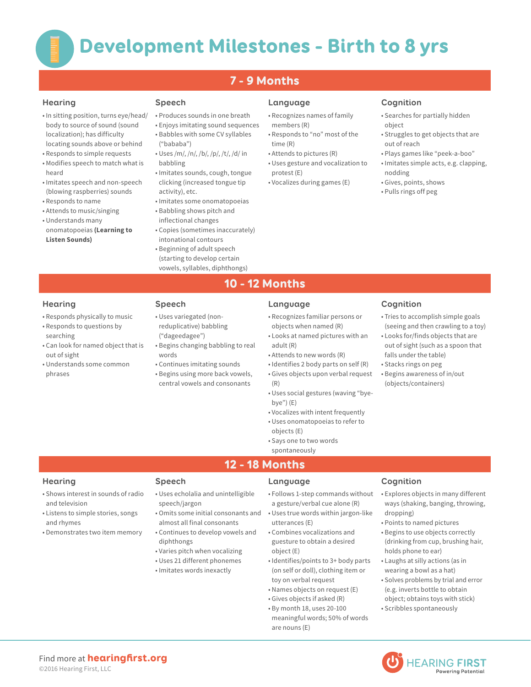# 7 - 9 Months

- In sitting position, turns eye/head/ body to source of sound (sound localization); has difficulty locating sounds above or behind
- Responds to simple requests
- Modifies speech to match what is heard
- Imitates speech and non-speech (blowing raspberries) sounds
- Responds to name • Attends to music/singing
- Understands many
- onomatopoeias **(Learning to Listen Sounds)**

- Produces sounds in one breath
- Enjoys imitating sound sequences • Babbles with some CV syllables
- ("bababa")
- Uses /m/, /n/, /b/, /p/, /t/, /d/ in babbling
- Imitates sounds, cough, tongue clicking (increased tongue tip activity), etc.
- Imitates some onomatopoeias
- Babbling shows pitch and inflectional changes
- Copies (sometimes inaccurately) intonational contours
- Beginning of adult speech (starting to develop certain vowels, syllables, diphthongs)

## **Hearing Speech Language Cognition**

- Recognizes names of family members (R)
- Responds to "no" most of the time (R)
- Attends to pictures (R)
- Uses gesture and vocalization to protest (E)
- Vocalizes during games (E)

- Searches for partially hidden object
- Struggles to get objects that are out of reach
- Plays games like "peek-a-boo"
- Imitates simple acts, e.g. clapping, nodding

• Tries to accomplish simple goals (seeing and then crawling to a toy) • Looks for/finds objects that are out of sight (such as a spoon that

falls under the table) • Stacks rings on peg • Begins awareness of in/out (objects/containers)

- Gives, points, shows
- Pulls rings off peg

10 - 12 Months

### **Hearing Speech Language Cognition**

- Recognizes familiar persons or objects when named (R)
- Looks at named pictures with an adult (R)
- Attends to new words (R)
- Identifies 2 body parts on self (R)
- Gives objects upon verbal request (R)
- Uses social gestures (waving "byebye") (E)
- Vocalizes with intent frequently
- Uses onomatopoeias to refer to objects (E)
- Says one to two words

# spontaneously

- Shows interest in sounds of radio and television
- Listens to simple stories, songs and rhymes
- Demonstrates two item memory

- Uses echolalia and unintelligible speech/jargon
- Omits some initial consonants and almost all final consonants
- Continues to develop vowels and diphthongs
- Varies pitch when vocalizing
- Uses 21 different phonemes
- Imitates words inexactly

12 - 18 Months

- Follows 1-step commands without a gesture/verbal cue alone (R)
- Uses true words within jargon-like utterances (E)
- Combines vocalizations and guesture to obtain a desired object (E)
- Identifies/points to 3+ body parts (on self or doll), clothing item or toy on verbal request
- Names objects on request (E)
- Gives objects if asked (R)
- By month 18, uses 20-100 meaningful words; 50% of words are nouns (E)

# **Hearing Speech Language Cognition**

- Explores objects in many different ways (shaking, banging, throwing, dropping)
- Points to named pictures
- Begins to use objects correctly (drinking from cup, brushing hair, holds phone to ear)
- Laughs at silly actions (as in wearing a bowl as a hat)
- Solves problems by trial and error (e.g. inverts bottle to obtain object; obtains toys with stick)
- Scribbles spontaneously



- Responds physically to music • Responds to questions by
- searching
- Can look for named object that is out of sight
- Understands some common phrases
- reduplicative) babbling ("dageedagee") • Begins changing babbling to real words
	- Continues imitating sounds

• Uses variegated (non-

• Begins using more back vowels, central vowels and consonants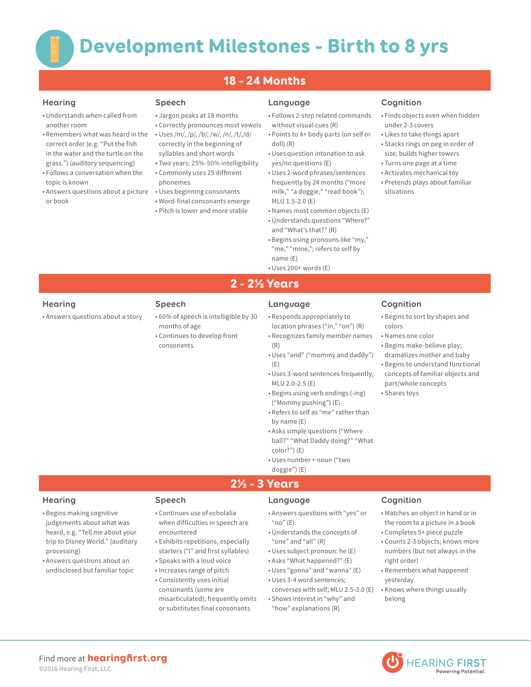# 18 - 24 Months

- Understands when called from another room
- Remembers what was heard in the correct order (e.g. "Put the fish in the water and the turtle on the grass.") (auditory sequencing)
- Follows a conversation when the topic is known
- Answers questions about a picture or book

- Jargon peaks at 18 months
- Correctly pronounces most vowels • Uses /m/, /p/, /b/, /w/, /n/, /t/,/d/
- correctly in the beginning of syllables and short words • Two years: 25%-50% intelligibility
- Commonly uses 25 different
- phonemes
- Uses beginning consonants
- Word-final consonants emerge
- Pitch is lower and more stable

### **Hearing Speech Language Cognition**

- Follows 2-step related commands without visual cues (R)
- Points to 4+ body parts (on self or doll) (R)
- Uses question intonation to ask yes/no questions (E)
- Uses 2-word phrases/sentences frequently by 24 months ("more milk," "a doggie," "read book"); MLU 1.5-2.0 (E)
- Names most common objects (E) • Understands questions "Where?"
- and "What's that?" (R) • Begins using pronouns like "my,"
- "me," "mine,"; refers to self by name (E)
- Uses 200+ words (E)

- Finds objects even when hidden under 2-3 covers
- Likes to take things apart
- Stacks rings on peg in order of size; builds higher towers
- Turns one page at a time
- Activates mechanical toy
- Pretends plays about familiar situations

• Answers questions about a story • 60% of speech is intelligible by 30

- months of age
- Continues to develop [front](http://firstyears.org/c1/u2/conclass.htm)  [consonants](http://firstyears.org/c1/u2/conclass.htm)

# **Hearing Speech Language Cognition**

2 - 2½ Years

- Responds appropriately to location phrases ("in," "on") (R)
- Recognizes family member names (R)
- Uses "and" ("mommy and daddy") (E)
- Uses 3-word sentences frequently; MLU 2.0-2.5 (E)
- Begins using verb endings (-ing)
- ("Mommy pushing") (E) • Refers to self as "me" rather than by name (E)
- Asks simple questions ("Where ball?" "What Daddy doing?" "What color?") (E)
- Uses number + noun ("two doggie") (E)

# • Begins to sort by shapes and

colors

- Names one color • Begins make-believe play;
- dramatizes mother and baby
- Begins to understand functional concepts of familiar objects and part/whole concepts • Shares toys

- Begins making cognitive judgements about what was heard, e.g. "Tell me about your trip to Disney World." (auditory processing)
- Answers questions about an undisclosed but familiar topic

- Continues use of echolalia when difficulties in speech are encountered
- Exhibits repetitions, especially starters ("I" and first syllables)
- Speaks with a loud voice
- Increases range of pitch
- Consistently uses initial consonants (some are misarticulated); frequently omits or substitutes final consonants

### **Hearing Speech Language Cognition**

2½ - 3 Years

- Answers questions with "yes" or  $m<sup>o</sup>$  (E)
- Understands the concepts of "one" and "all" (R)
- Uses subject pronoun: he (E)
- Asks "What happened?" (E)
- Uses "gonna" and "wanna" (E)
- Uses 3-4 word sentences;
- converses with self; MLU 2.5-3.0 (E) • Shows interest in "why" and
- "how" explanations (R)

- Matches an object in hand or in the room to a picture in a book
- Completes 5+ piece puzzle
- Counts 2-3 objects; knows more numbers (but not always in the right order)
- Remembers what happened yesterday
- Knows where things usually belong

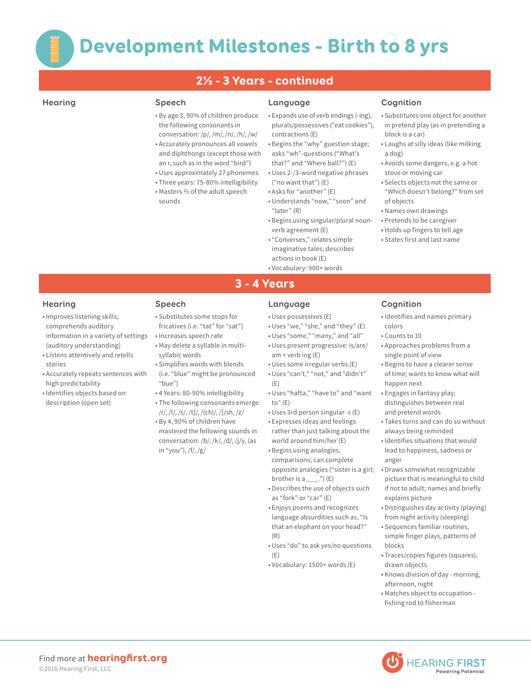# 2½ - 3 Years - continued

- By age 3, 90% of children produce the following consonants in conversation: /p/, /m/, /n/, /h/, /w/ • Accurately pronounces all vowels
- and diphthongs (except those with an r, such as in the word "bird") • Uses approximately 27 phonemes
- Three years: 75-80% intelligibility
- Masters ⅔ of the adult speech sounds

### **Hearing Speech Language Cognition**

- Expands use of verb endings (-ing), plurals/possessives ("eat cookies"), contractions (E)
- Begins the "why" guestion stage; asks "wh"-questions ("What's that?" and "Where ball?") (E)
- Uses 2-/3-word negative phrases ("no want that") (E)
- Asks for "another" (E)
- Understands "now," "soon" and "later" (R)
- Begins using singular/plural nounverb agreement (E)
- "Converses," relates simple imaginative tales; describes actions in book (E)
- Vocabulary: 900+ words

- Substitutes one object for another in pretend play (as in pretending a block is a car)
- Laughs at silly ideas (like milking a dog)
- Avoids some dangers, e.g. a hot stove or moving car
- Selects objects not the same or "Which doesn't belong?" from set of objects
- Names own drawings
- Pretends to be caregiver
- Holds up fingers to tell age
- States first and last name

- 
- Improves listening skills; comprehends auditory information in a variety of settings (auditory understanding)
- Listens attentively and retells stories
- Accurately repeats sentences with high predictability
- Identifies objects based on description (open set)

- Substitutes some stops for fricatives (i.e. "tat" for "sat")
- Increases speech rate • May delete a syllable in multi-
- syllabic words • Simplifies words with blends (i.e. "blue" might be pronounced
- "bue") • 4 Years: 80-90% intelligibility
- The following consonants emerge: /r/, /l/, /s/, /t∫/, /(ch)/, /∫/sh, /z/
- By 4, 90% of children have mastered the following sounds in conversation: /b/, /k/, /d/, /j/y, (as in "you"), /f/, /g/

3 - 4 Years

- Uses possessives (E)
- Uses "we," "she," and "they" (E)
- Uses "some," "many," and "all"
- Uses present progressive: is/are/  $am + verb$  ing  $(E)$
- Uses some irregular verbs (E)
- Uses "can't," "not," and "didn't" (E)
- Uses "hafta," "have to" and "want to" $(E)$
- Uses 3rd person singular *-s* (E)
- Expresses ideas and feelings rather than just talking about the world around him/her (E)
- Begins using analogies, comparisons; can complete opposite analogies ("sister is a girl; brother is a  $\text{---}$ .") (E)
- Describes the use of objects such as "fork" or "car" (E)
- Enjoys poems and recognizes language absurdities such as, "Is that an elephant on your head?" (R)
- Uses "do" to ask yes/no questions (E)
- Vocabulary: 1500+ words (E)

### **Hearing Speech Language Cognition**

- Identifies and names primary colors
- Counts to 10
- Approaches problems from a single point of view
- Begins to have a clearer sense of time; wants to know what will happen next
- Engages in fantasy play; distinguishes between real and pretend words
- Takes turns and can do so without always being reminded
- Identifies situations that would lead to happiness, sadness or anger
- Draws somewhat recognizable picture that is meaningful to child if not to adult; names and briefly explains picture
- Distinguishes day activity (playing) from night activity (sleeping)
- Sequences familiar routines, simple finger plays, patterns of blocks
- Traces/copies figures (squares), drawn objects
- Knows division of day morning, afternoon, night
- Matches object to occupation fishing rod to fisherman

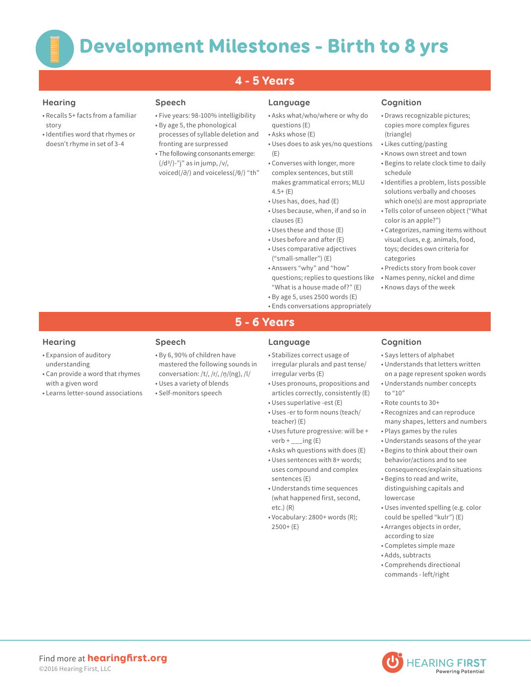# 4 - 5 Years

- Recalls 5+ facts from a familiar story
- Identifies word that rhymes or doesn't rhyme in set of 3-4

- Five years: 98-100% intelligibility • By age 5, the phonological
- processes of syllable deletion and fronting are surpressed
- The following consonants emerge:  $\left(\frac{d^3}{c^3}\right)$ -"j" as in jump,  $\frac{dv}{dx}$ voiced(/∂/) and voiceless(/0/) "th"

## **Hearing Speech Language Cognition**

- Asks what/who/where or why do questions (E)
- Asks whose (E)
- Uses does to ask yes/no questions (E)
- Converses with longer, more complex sentences, but still makes grammatical errors; MLU  $4.5+$  (E)
- Uses has, does, had (E)
- Uses because, when, if and so in clauses (E)
- Uses these and those (E)
- Uses before and after (E)
- Uses comparative adjectives ("small-smaller") (E)
- Answers "why" and "how" questions; replies to questions like "What is a house made of?" (E)
- By age 5, uses 2500 words (E)
- Ends conversations appropriately

- Draws recognizable pictures; copies more complex figures (triangle)
- Likes cutting/pasting
- Knows own street and town
- Begins to relate clock time to daily schedule
- Identifies a problem, lists possible solutions verbally and chooses which one(s) are most appropriate
- Tells color of unseen object ("What color is an apple?")
- Categorizes, naming items without visual clues, e.g. animals, food, toys; decides own criteria for categories
- Predicts story from book cover
- Names penny, nickel and dime
- Knows days of the week
- 
- 

# 5 - 6 Years

- Expansion of auditory understanding
- Can provide a word that rhymes with a given word
- Learns letter-sound associations

- By 6, 90% of children have mastered the following sounds in conversation: /t/, /r/, /ņ/(ng), /l/
- Uses a variety of blends
- Self-monitors speech

# **Hearing Speech Language Cognition**

- Stabilizes correct usage of irregular plurals and past tense/ irregular verbs (E)
- Uses pronouns, propositions and articles correctly, consistently (E)
- Uses superlative -est (E)
- Uses -er to form nouns (teach/ teacher) (E)
- Uses future progressive: will be + verb  $+$  \_\_\_ing (E)
- Asks wh questions with does (E) • Uses sentences with 8+ words;
- uses compound and complex sentences (E)
- Understands time sequences (what happened first, second, etc.) (R)
- Vocabulary: 2800+ words (R); 2500+ (E)

- Says letters of alphabet
- Understands that letters written on a page represent spoken words
- Understands number concepts to "10"
- Rote counts to 30+
- Recognizes and can reproduce many shapes, letters and numbers
- Plays games by the rules
- Understands seasons of the year • Begins to think about their own behavior/actions and to see consequences/explain situations
- Begins to read and write, distinguishing capitals and lowercase
- Uses invented spelling (e.g. color could be spelled "kulr") (E)
- Arranges objects in order, according to size
- Completes simple maze
- Adds, subtracts
- Comprehends directional commands - left/right